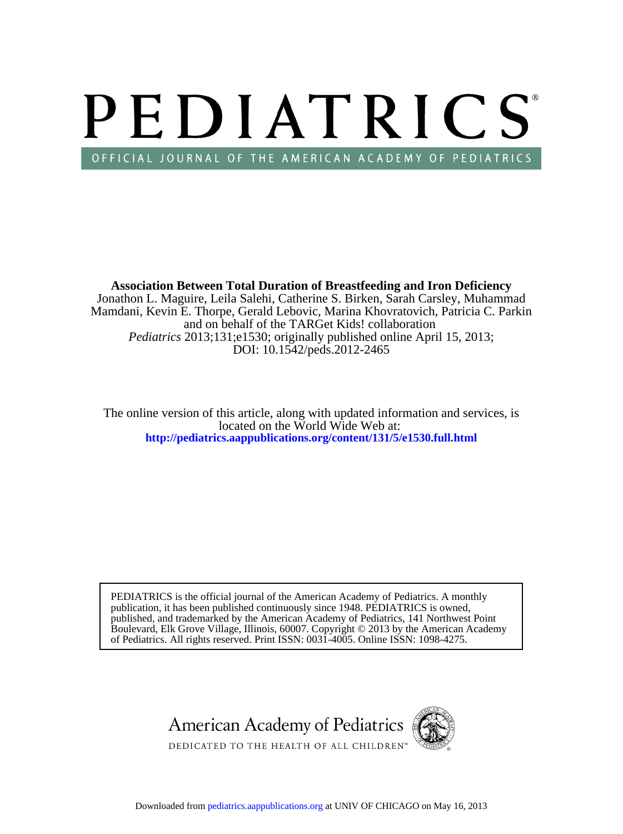# PEDIATRICS OFFICIAL JOURNAL OF THE AMERICAN ACADEMY OF PEDIATRICS

DOI: 10.1542/peds.2012-2465 *Pediatrics* 2013;131;e1530; originally published online April 15, 2013; and on behalf of the TARGet Kids! collaboration Mamdani, Kevin E. Thorpe, Gerald Lebovic, Marina Khovratovich, Patricia C. Parkin Jonathon L. Maguire, Leila Salehi, Catherine S. Birken, Sarah Carsley, Muhammad **Association Between Total Duration of Breastfeeding and Iron Deficiency**

**<http://pediatrics.aappublications.org/content/131/5/e1530.full.html>** located on the World Wide Web at: The online version of this article, along with updated information and services, is

of Pediatrics. All rights reserved. Print ISSN: 0031-4005. Online ISSN: 1098-4275. Boulevard, Elk Grove Village, Illinois, 60007. Copyright © 2013 by the American Academy published, and trademarked by the American Academy of Pediatrics, 141 Northwest Point publication, it has been published continuously since 1948. PEDIATRICS is owned, PEDIATRICS is the official journal of the American Academy of Pediatrics. A monthly



Downloaded from [pediatrics.aappublications.org](http://pediatrics.aappublications.org/) at UNIV OF CHICAGO on May 16, 2013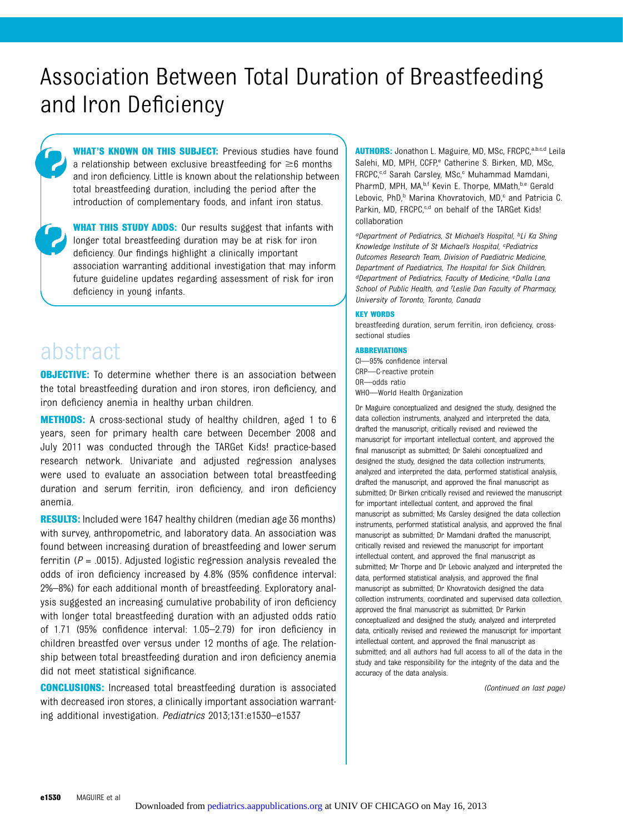## Association Between Total Duration of Breastfeeding and Iron Deficiency

WHAT'S KNOWN ON THIS SUBJECT: Previous studies have found a relationship between exclusive breastfeeding for  $\geq 6$  months and iron deficiency. Little is known about the relationship between total breastfeeding duration, including the period after the introduction of complementary foods, and infant iron status.

**WHAT THIS STUDY ADDS:** Our results suggest that infants with longer total breastfeeding duration may be at risk for iron deficiency. Our findings highlight a clinically important association warranting additional investigation that may inform future guideline updates regarding assessment of risk for iron deficiency in young infants.

### abstract

**OBJECTIVE:** To determine whether there is an association between the total breastfeeding duration and iron stores, iron deficiency, and iron deficiency anemia in healthy urban children.

METHODS: A cross-sectional study of healthy children, aged 1 to 6 years, seen for primary health care between December 2008 and July 2011 was conducted through the TARGet Kids! practice-based research network. Univariate and adjusted regression analyses were used to evaluate an association between total breastfeeding duration and serum ferritin, iron deficiency, and iron deficiency anemia.

**RESULTS:** Included were 1647 healthy children (median age 36 months) with survey, anthropometric, and laboratory data. An association was found between increasing duration of breastfeeding and lower serum ferritin ( $P = .0015$ ). Adjusted logistic regression analysis revealed the odds of iron deficiency increased by 4.8% (95% confidence interval: 2%–8%) for each additional month of breastfeeding. Exploratory analysis suggested an increasing cumulative probability of iron deficiency with longer total breastfeeding duration with an adjusted odds ratio of 1.71 (95% confidence interval: 1.05–2.79) for iron deficiency in children breastfed over versus under 12 months of age. The relationship between total breastfeeding duration and iron deficiency anemia did not meet statistical significance.

CONCLUSIONS: Increased total breastfeeding duration is associated with decreased iron stores, a clinically important association warranting additional investigation. Pediatrics 2013;131:e1530–e1537

AUTHORS: Jonathon L. Maguire, MD, MSc, FRCPC, a,b,c,d Leila Salehi, MD, MPH, CCFP,<sup>e</sup> Catherine S. Birken, MD, MSc, FRCPC,<sup>c,d</sup> Sarah Carsley, MSc,<sup>c</sup> Muhammad Mamdani, PharmD, MPH, MA,<sup>b,f</sup> Kevin E. Thorpe, MMath, b,e Gerald Lebovic, PhD,<sup>b</sup> Marina Khovratovich, MD,<sup>c</sup> and Patricia C. Parkin, MD, FRCPC,<sup>c,d</sup> on behalf of the TARGet Kids! collaboration

aDepartment of Pediatrics, St Michael's Hospital, <sup>b</sup>Li Ka Shing Knowledge Institute of St Michael's Hospital, <sup>c</sup>Pediatrics Outcomes Research Team, Division of Paediatric Medicine, Department of Paediatrics, The Hospital for Sick Children, <sup>d</sup>Department of Pediatrics, Faculty of Medicine, <sup>e</sup>Dalla Lana School of Public Health, and <sup>f</sup>Leslie Dan Faculty of Pharmacy, University of Toronto, Toronto, Canada

#### KEY WORDS

breastfeeding duration, serum ferritin, iron deficiency, crosssectional studies

#### **ABBREVIATIONS**

CI—95% confidence interval CRP—C-reactive protein OR—odds ratio WHO—World Health Organization

Dr Maguire conceptualized and designed the study, designed the data collection instruments, analyzed and interpreted the data, drafted the manuscript, critically revised and reviewed the manuscript for important intellectual content, and approved the final manuscript as submitted; Dr Salehi conceptualized and designed the study, designed the data collection instruments, analyzed and interpreted the data, performed statistical analysis, drafted the manuscript, and approved the final manuscript as submitted: Dr Birken critically revised and reviewed the manuscript for important intellectual content, and approved the final manuscript as submitted; Ms Carsley designed the data collection instruments, performed statistical analysis, and approved the final manuscript as submitted; Dr Mamdani drafted the manuscript, critically revised and reviewed the manuscript for important intellectual content, and approved the final manuscript as submitted; Mr Thorpe and Dr Lebovic analyzed and interpreted the data, performed statistical analysis, and approved the final manuscript as submitted; Dr Khovratovich designed the data collection instruments, coordinated and supervised data collection, approved the final manuscript as submitted; Dr Parkin conceptualized and designed the study, analyzed and interpreted data, critically revised and reviewed the manuscript for important intellectual content, and approved the final manuscript as submitted; and all authors had full access to all of the data in the study and take responsibility for the integrity of the data and the accuracy of the data analysis.

(Continued on last page)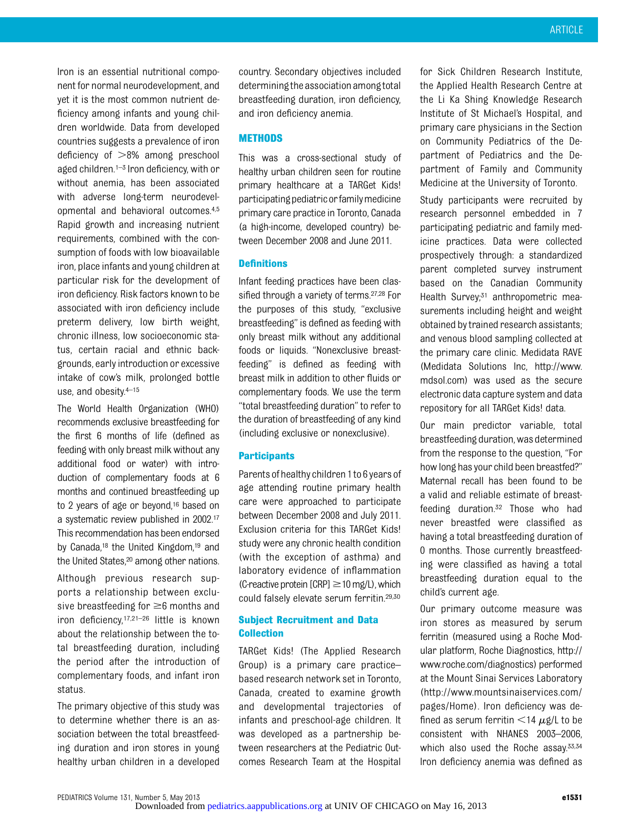Iron is an essential nutritional component for normal neurodevelopment, and yet it is the most common nutrient deficiency among infants and young children worldwide. Data from developed countries suggests a prevalence of iron deficiency of  $>8\%$  among preschool aged children. $1-3$  Iron deficiency, with or without anemia, has been associated with adverse long-term neurodevelopmental and behavioral outcomes.4,5 Rapid growth and increasing nutrient requirements, combined with the consumption of foods with low bioavailable iron, place infants and young children at particular risk for the development of iron deficiency. Risk factors known to be associated with iron deficiency include preterm delivery, low birth weight, chronic illness, low socioeconomic status, certain racial and ethnic backgrounds, early introduction or excessive intake of cow's milk, prolonged bottle use, and obesity.4–<sup>15</sup>

The World Health Organization (WHO) recommends exclusive breastfeeding for the first 6 months of life (defined as feeding with only breast milk without any additional food or water) with introduction of complementary foods at 6 months and continued breastfeeding up to 2 years of age or beyond,16 based on a systematic review published in 2002.17 This recommendation has been endorsed by Canada,<sup>18</sup> the United Kingdom,<sup>19</sup> and the United States,20 among other nations.

Although previous research supports a relationship between exclusive breastfeeding for  $\geq 6$  months and iron deficiency,17,21–<sup>26</sup> little is known about the relationship between the total breastfeeding duration, including the period after the introduction of complementary foods, and infant iron status.

The primary objective of this study was to determine whether there is an association between the total breastfeeding duration and iron stores in young healthy urban children in a developed

country. Secondary objectives included determining the association among total breastfeeding duration, iron deficiency, and iron deficiency anemia.

#### **METHODS**

This was a cross-sectional study of healthy urban children seen for routine primary healthcare at a TARGet Kids! participatingpediatricorfamilymedicine primary care practice in Toronto, Canada (a high-income, developed country) between December 2008 and June 2011.

#### **Definitions**

Infant feeding practices have been classified through a variety of terms.<sup>27,28</sup> For the purposes of this study, "exclusive breastfeeding" is defined as feeding with only breast milk without any additional foods or liquids. "Nonexclusive breastfeeding" is defined as feeding with breast milk in addition to other fluids or complementary foods. We use the term "total breastfeeding duration" to refer to the duration of breastfeeding of any kind (including exclusive or nonexclusive).

#### **Participants**

Parents ofhealthy children 1to 6 years of age attending routine primary health care were approached to participate between December 2008 and July 2011. Exclusion criteria for this TARGet Kids! study were any chronic health condition (with the exception of asthma) and laboratory evidence of inflammation (C-reactive protein  $[CRP] \ge 10$  mg/L), which could falsely elevate serum ferritin.29,30

#### Subject Recruitment and Data **Collection**

TARGet Kids! (The Applied Research Group) is a primary care practice– based research network set in Toronto, Canada, created to examine growth and developmental trajectories of infants and preschool-age children. It was developed as a partnership between researchers at the Pediatric Outcomes Research Team at the Hospital

for Sick Children Research Institute, the Applied Health Research Centre at the Li Ka Shing Knowledge Research Institute of St Michael's Hospital, and primary care physicians in the Section on Community Pediatrics of the Department of Pediatrics and the Department of Family and Community Medicine at the University of Toronto.

Study participants were recruited by research personnel embedded in 7 participating pediatric and family medicine practices. Data were collected prospectively through: a standardized parent completed survey instrument based on the Canadian Community Health Survey;<sup>31</sup> anthropometric measurements including height and weight obtained by trained research assistants; and venous blood sampling collected at the primary care clinic. Medidata RAVE (Medidata Solutions Inc, [http://www.](http://www.mdsol.com) [mdsol.com](http://www.mdsol.com)) was used as the secure electronic data capture system and data repository for all TARGet Kids! data.

Our main predictor variable, total breastfeeding duration, was determined from the response to the question, "For how long has your child been breastfed?" Maternal recall has been found to be a valid and reliable estimate of breastfeeding duration.32 Those who had never breastfed were classified as having a total breastfeeding duration of 0 months. Those currently breastfeeding were classified as having a total breastfeeding duration equal to the child's current age.

Our primary outcome measure was iron stores as measured by serum ferritin (measured using a Roche Modular platform, Roche Diagnostics, [http://](http://www.roche.com/diagnostics) [www.roche.com/diagnostics](http://www.roche.com/diagnostics)) performed at the Mount Sinai Services Laboratory ([http://www.mountsinaiservices.com/](http://www.mountsinaiservices.com/pages/Home) [pages/Home\)](http://www.mountsinaiservices.com/pages/Home). Iron deficiency was defined as serum ferritin  $<$ 14  $\mu$ g/L to be consistent with NHANES 2003–2006, which also used the Roche assay. 33,34 Iron deficiency anemia was defined as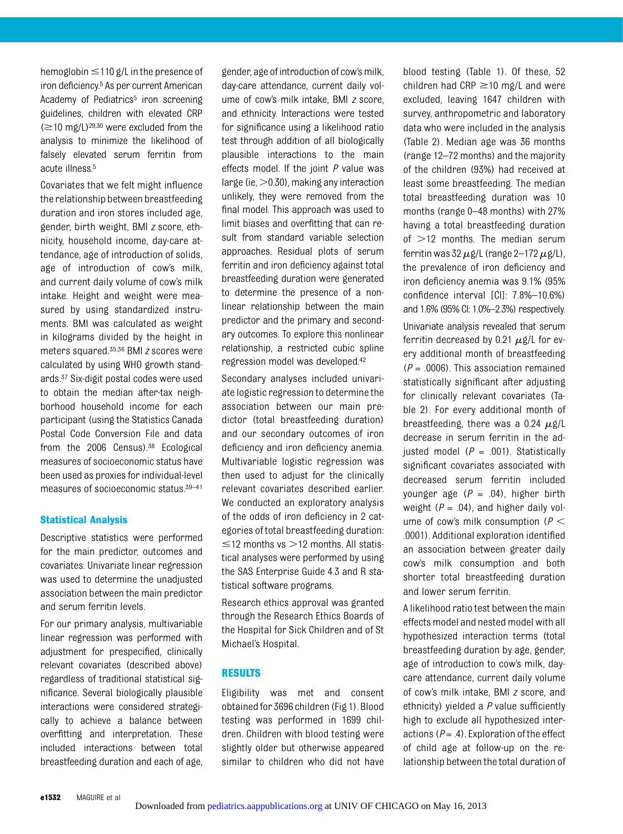hemoglobin  $\leq 110$  g/L in the presence of iron deficiency.5 As per current American Academy of Pediatrics<sup>5</sup> iron screening guidelines, children with elevated CRP  $(\geq 10 \text{ mg/L})^{29,30}$  were excluded from the analysis to minimize the likelihood of falsely elevated serum ferritin from acute illness.5

Covariates that we felt might influence the relationship between breastfeeding duration and iron stores included age, gender, birth weight, BMI z score, ethnicity, household income, day-care attendance, age of introduction of solids, age of introduction of cow's milk, and current daily volume of cow's milk intake. Height and weight were measured by using standardized instruments. BMI was calculated as weight in kilograms divided by the height in meters squared.35,36 BMI z scores were calculated by using WHO growth standards.37 Six-digit postal codes were used to obtain the median after-tax neighborhood household income for each participant (using the Statistics Canada Postal Code Conversion File and data from the 2006 Census).38 Ecological measures of socioeconomic status have been used as proxies for individual-level measures of socioeconomic status.39–<sup>41</sup>

#### Statistical Analysis

Descriptive statistics were performed for the main predictor, outcomes and covariates. Univariate linear regression was used to determine the unadjusted association between the main predictor and serum ferritin levels.

For our primary analysis, multivariable linear regression was performed with adjustment for prespecified, clinically relevant covariates (described above) regardless of traditional statistical significance. Several biologically plausible interactions were considered strategically to achieve a balance between overfitting and interpretation. These included interactions between total breastfeeding duration and each of age,

gender, age of introduction of cow's milk, day-care attendance, current daily volume of cow's milk intake, BMI z score, and ethnicity. Interactions were tested for significance using a likelihood ratio test through addition of all biologically plausible interactions to the main effects model. If the joint  $P$  value was large (ie,  $>0.30$ ), making any interaction unlikely, they were removed from the final model. This approach was used to limit biases and overfitting that can result from standard variable selection approaches. Residual plots of serum ferritin and iron deficiency against total breastfeeding duration were generated to determine the presence of a nonlinear relationship between the main predictor and the primary and secondary outcomes. To explore this nonlinear relationship, a restricted cubic spline regression model was developed.42

Secondary analyses included univariate logistic regression to determine the association between our main predictor (total breastfeeding duration) and our secondary outcomes of iron deficiency and iron deficiency anemia. Multivariable logistic regression was then used to adjust for the clinically relevant covariates described earlier. We conducted an exploratory analysis of the odds of iron deficiency in 2 categories of total breastfeeding duration:  $\leq$  12 months vs  $>$  12 months. All statistical analyses were performed by using the SAS Enterprise Guide 4.3 and R statistical software programs.

Research ethics approval was granted through the Research Ethics Boards of the Hospital for Sick Children and of St Michael's Hospital.

#### RESULTS

Eligibility was met and consent obtained for 3696 children (Fig 1). Blood testing was performed in 1699 children. Children with blood testing were slightly older but otherwise appeared similar to children who did not have

blood testing (Table 1). Of these, 52 children had CRP  $\geq$ 10 mg/L and were excluded, leaving 1647 children with survey, anthropometric and laboratory data who were included in the analysis (Table 2). Median age was 36 months (range 12–72 months) and the majority of the children (93%) had received at least some breastfeeding. The median total breastfeeding duration was 10 months (range 0–48 months) with 27% having a total breastfeeding duration of  $>12$  months. The median serum ferritin was 32  $\mu$ g/L (range 2–172  $\mu$ g/L), the prevalence of iron deficiency and iron deficiency anemia was 9.1% (95% confidence interval [CI]: 7.8%–10.6%) and 1.6% (95% CI: 1.0%–2.3%) respectively.

Univariate analysis revealed that serum ferritin decreased by 0.21  $\mu$ g/L for every additional month of breastfeeding  $(P = .0006)$ . This association remained statistically significant after adjusting for clinically relevant covariates (Table 2). For every additional month of breastfeeding, there was a 0.24  $\mu$ g/L decrease in serum ferritin in the adjusted model  $(P = .001)$ . Statistically significant covariates associated with decreased serum ferritin included younger age  $(P = .04)$ , higher birth weight ( $P = .04$ ), and higher daily volume of cow's milk consumption ( $P <$ .0001). Additional exploration identified an association between greater daily cow's milk consumption and both shorter total breastfeeding duration and lower serum ferritin.

A likelihood ratio test between the main effects model and nested model with all hypothesized interaction terms (total breastfeeding duration by age, gender, age of introduction to cow's milk, daycare attendance, current daily volume of cow's milk intake, BMI z score, and ethnicity) yielded a P value sufficiently high to exclude all hypothesized interactions ( $P = .4$ ). Exploration of the effect of child age at follow-up on the relationship between the total duration of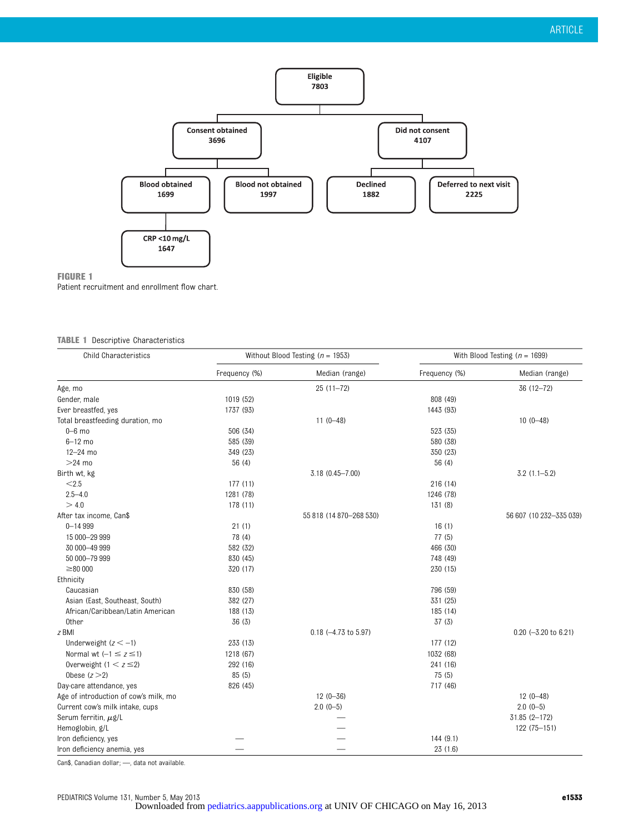

#### FIGURE 1

Patient recruitment and enrollment flow chart.

#### TABLE 1 Descriptive Characteristics

| <b>Child Characteristics</b>          | Without Blood Testing ( $n = 1953$ ) |                            | With Blood Testing ( $n = 1699$ ) |                         |
|---------------------------------------|--------------------------------------|----------------------------|-----------------------------------|-------------------------|
|                                       | Frequency (%)                        | Median (range)             | Frequency (%)                     | Median (range)          |
| Age, mo                               |                                      | $25(11-72)$                |                                   | $36(12 - 72)$           |
| Gender, male                          | 1019 (52)                            |                            | 808 (49)                          |                         |
| Ever breastfed, yes                   | 1737 (93)                            |                            | 1443 (93)                         |                         |
| Total breastfeeding duration, mo      |                                      | $11(0-48)$                 |                                   | $10(0-48)$              |
| $0 - 6$ mo                            | 506 (34)                             |                            | 523 (35)                          |                         |
| $6 - 12$ mo                           | 585 (39)                             |                            | 580 (38)                          |                         |
| $12 - 24$ mo                          | 349 (23)                             |                            | 350 (23)                          |                         |
| $>24$ mo                              | 56 (4)                               |                            | 56 (4)                            |                         |
| Birth wt, kg                          |                                      | $3.18(0.45 - 7.00)$        |                                   | $3.2(1.1 - 5.2)$        |
| < 2.5                                 | 177(11)                              |                            | 216 (14)                          |                         |
| $2.5 - 4.0$                           | 1281 (78)                            |                            | 1246 (78)                         |                         |
| > 4.0                                 | 178 (11)                             |                            | 131(8)                            |                         |
| After tax income, Can\$               |                                      | 55 818 (14 870-268 530)    |                                   | 56 607 (10 232-335 039) |
| $0 - 14999$                           | 21(1)                                |                            | 16(1)                             |                         |
| 15 000-29 999                         | 78 (4)                               |                            | 77(5)                             |                         |
| 30 000-49 999                         | 582 (32)                             |                            | 466 (30)                          |                         |
| 50 000-79 999                         | 830 (45)                             |                            | 748 (49)                          |                         |
| $\geq 80000$                          | 320 (17)                             |                            | 230 (15)                          |                         |
| Ethnicity                             |                                      |                            |                                   |                         |
| Caucasian                             | 830 (58)                             |                            | 796 (59)                          |                         |
| Asian (East, Southeast, South)        | 382 (27)                             |                            | 331 (25)                          |                         |
| African/Caribbean/Latin American      | 188 (13)                             |                            | 185 (14)                          |                         |
| 0ther                                 | 36 (3)                               |                            | 37(3)                             |                         |
| z BMI                                 |                                      | $0.18$ $(-4.73$ to $5.97)$ |                                   | $0.20$ (-3.20 to 6.21)  |
| Underweight $(z < -1)$                | 233 (13)                             |                            | 177 (12)                          |                         |
| Normal wt $(-1 \le z \le 1)$          | 1218 (67)                            |                            | 1032 (68)                         |                         |
| Overweight $(1 < z \leq 2)$           | 292 (16)                             |                            | 241 (16)                          |                         |
| Obese $(z>2)$                         | 85(5)                                |                            | 75(5)                             |                         |
| Day-care attendance, yes              | 826 (45)                             |                            | 717 (46)                          |                         |
| Age of introduction of cow's milk, mo |                                      | $12(0 - 36)$               |                                   | $12(0-48)$              |
| Current cow's milk intake, cups       |                                      | $2.0(0-5)$                 |                                   | $2.0(0-5)$              |
| Serum ferritin, $\mu$ g/L             |                                      |                            |                                   | 31.85 (2-172)           |
| Hemoglobin, g/L                       |                                      |                            |                                   | 122 (75-151)            |
| Iron deficiency, yes                  |                                      |                            | 144(9.1)                          |                         |
| Iron deficiency anemia, yes           |                                      |                            | 23(1.6)                           |                         |

Can\$, Canadian dollar; —, data not available.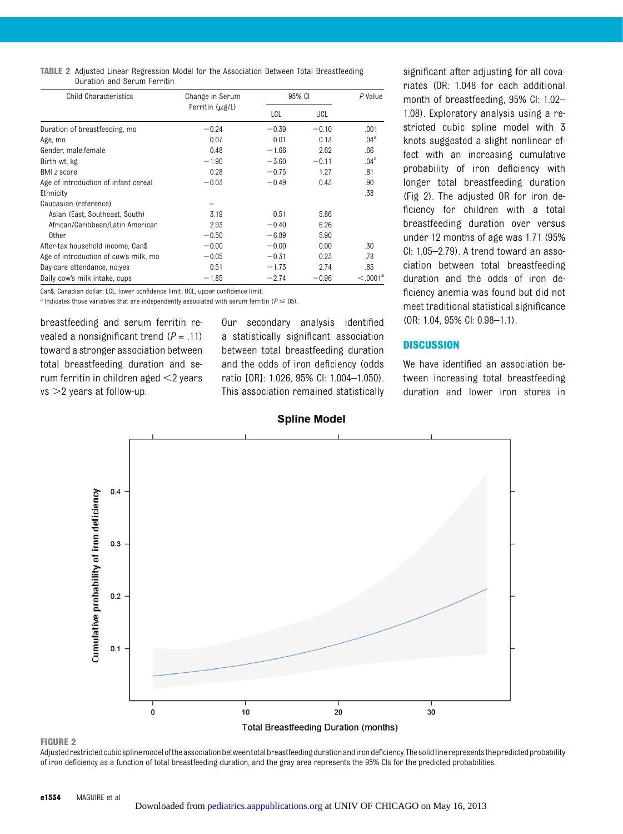TABLE 2 Adjusted Linear Regression Model for the Association Between Total Breastfeeding Duration and Serum Ferritin

| <b>Child Characteristics</b>          | Change in Serum<br>Ferritin $(\mu g/L)$ |         | 95% CI  |                  |
|---------------------------------------|-----------------------------------------|---------|---------|------------------|
|                                       |                                         | LCL     | UCL     |                  |
| Duration of breastfeeding, mo         | $-0.24$                                 | $-0.39$ | $-0.10$ | .001             |
| Age, mo                               | 0.07                                    | 0.01    | 0.13    | .04 <sup>a</sup> |
| Gender, male: female                  | 0.48                                    | $-1.66$ | 2.62    | .66              |
| Birth wt, kg                          | $-1.90$                                 | $-3.60$ | $-0.11$ | .04 <sup>a</sup> |
| BMI z score                           | 0.28                                    | $-0.75$ | 1.27    | .61              |
| Age of introduction of infant cereal  | $-0.03$                                 | $-0.49$ | 0.43    | .90              |
| Ethnicity                             |                                         |         |         | .38              |
| Caucasian (reference)                 |                                         |         |         |                  |
| Asian (East, Southeast, South)        | 3.19                                    | 0.51    | 5.86    |                  |
| African/Caribbean/Latin American      | 2.93                                    | $-0.40$ | 6.26    |                  |
| 0ther                                 | $-0.50$                                 | $-6.89$ | 5.90    |                  |
| After-tax household income, Can\$     | $-0.00$                                 | $-0.00$ | 0.00    | .30              |
| Age of introduction of cow's milk, mo | $-0.05$                                 | $-0.31$ | 0.23    | .78              |
| Day-care attendance, no:yes           | 0.51                                    | $-1.73$ | 2.74    | .65              |
| Daily cow's milk intake, cups         | $-1.85$                                 | $-2.74$ | $-0.96$ | $< 0.001^a$      |

Can\$, Canadian dollar; LCL, lower confidence limit; UCL, upper confidence limit.

a Indicates those variables that are independently associated with serum ferritin ( $P \leq .05$ ).

breastfeeding and serum ferritin revealed a nonsignificant trend  $(P = .11)$ toward a stronger association between total breastfeeding duration and serum ferritin in children aged  $\leq$ 2 years  $vs >2$  years at follow-up.

Our secondary analysis identified a statistically significant association between total breastfeeding duration and the odds of iron deficiency (odds ratio [OR]: 1.026, 95% CI: 1.004–1.050). This association remained statistically significant after adjusting for all covariates (OR: 1.048 for each additional month of breastfeeding, 95% CI: 1.02– 1.08). Exploratory analysis using a restricted cubic spline model with 3 knots suggested a slight nonlinear effect with an increasing cumulative probability of iron deficiency with longer total breastfeeding duration (Fig 2). The adjusted OR for iron deficiency for children with a total breastfeeding duration over versus under 12 months of age was 1.71 (95% CI: 1.05–2.79). A trend toward an association between total breastfeeding duration and the odds of iron deficiency anemia was found but did not meet traditional statistical significance (OR: 1.04, 95% CI: 0.98–1.1).

#### **DISCUSSION**

We have identified an association between increasing total breastfeeding duration and lower iron stores in



#### FIGURE 2

Adjustedrestrictedcubicsplinemodeloftheassociationbetweentotalbreastfeedingdurationandirondeficiency.Thesolidlinerepresentsthepredictedprobability of iron deficiency as a function of total breastfeeding duration, and the gray area represents the 95% CIs for the predicted probabilities.

#### **Spline Model**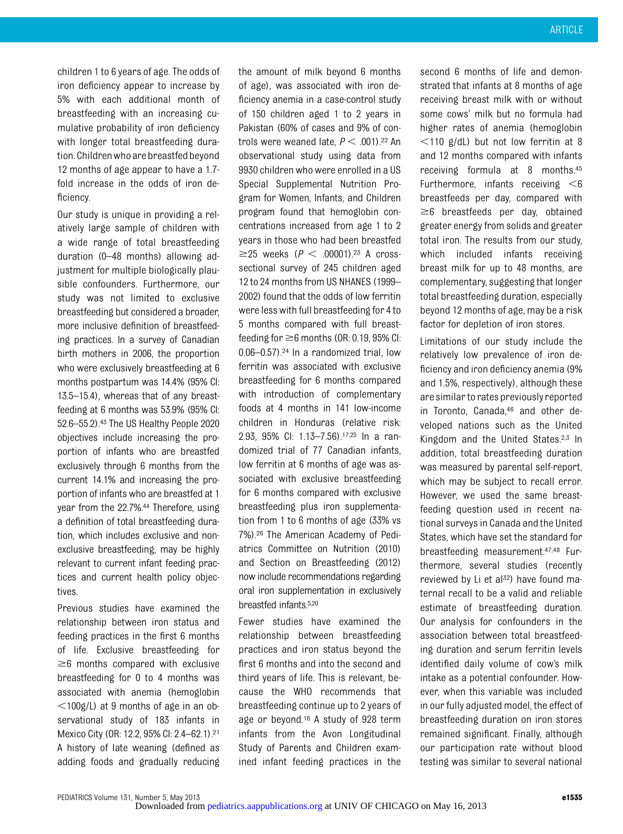children 1 to 6 years of age. The odds of iron deficiency appear to increase by 5% with each additional month of breastfeeding with an increasing cumulative probability of iron deficiency with longer total breastfeeding duration.Childrenwho arebreastfedbeyond 12 months of age appear to have a 1.7 fold increase in the odds of iron deficiency.

Our study is unique in providing a relatively large sample of children with a wide range of total breastfeeding duration (0–48 months) allowing adjustment for multiple biologically plausible confounders. Furthermore, our study was not limited to exclusive breastfeeding but considered a broader, more inclusive definition of breastfeeding practices. In a survey of Canadian birth mothers in 2006, the proportion who were exclusively breastfeeding at 6 months postpartum was 14.4% (95% CI: 13.5–15.4), whereas that of any breastfeeding at 6 months was 53.9% (95% CI: 52.6–55.2).43 The US Healthy People 2020 objectives include increasing the proportion of infants who are breastfed exclusively through 6 months from the current 14.1% and increasing the proportion of infants who are breastfed at 1 year from the 22.7%.<sup>44</sup> Therefore, using a definition of total breastfeeding duration, which includes exclusive and nonexclusive breastfeeding, may be highly relevant to current infant feeding practices and current health policy objectives.

Previous studies have examined the relationship between iron status and feeding practices in the first 6 months of life. Exclusive breastfeeding for  $\geq$ 6 months compared with exclusive breastfeeding for 0 to 4 months was associated with anemia (hemoglobin  $<$ 100g/L) at 9 months of age in an observational study of 183 infants in Mexico City (OR: 12.2, 95% CI: 2.4–62.1).21 A history of late weaning (defined as adding foods and gradually reducing

the amount of milk beyond 6 months of age), was associated with iron deficiency anemia in a case-control study of 150 children aged 1 to 2 years in Pakistan (60% of cases and 9% of controls were weaned late,  $P < .001$ ).<sup>22</sup> An observational study using data from 9930 children who were enrolled in a US Special Supplemental Nutrition Program for Women, Infants, and Children program found that hemoglobin concentrations increased from age 1 to 2 years in those who had been breastfed  $\geq$ 25 weeks (P < .00001).<sup>23</sup> A crosssectional survey of 245 children aged 12 to 24 months from US NHANES (1999– 2002) found that the odds of low ferritin were less with full breastfeeding for 4 to 5 months compared with full breastfeeding for  $\geq$ 6 months (OR: 0.19, 95% CI: 0.06–0.57).24 In a randomized trial, low ferritin was associated with exclusive breastfeeding for 6 months compared with introduction of complementary foods at 4 months in 141 low-income children in Honduras (relative risk: 2.93, 95% CI: 1.13–7.56).17,25 In a randomized trial of 77 Canadian infants, low ferritin at 6 months of age was associated with exclusive breastfeeding for 6 months compared with exclusive breastfeeding plus iron supplementation from 1 to 6 months of age (33% vs 7%).26 The American Academy of Pediatrics Committee on Nutrition (2010) and Section on Breastfeeding (2012) now include recommendations regarding oral iron supplementation in exclusively breastfed infants.5,20

Fewer studies have examined the relationship between breastfeeding practices and iron status beyond the first 6 months and into the second and third years of life. This is relevant, because the WHO recommends that breastfeeding continue up to 2 years of age or beyond.16 A study of 928 term infants from the Avon Longitudinal Study of Parents and Children examined infant feeding practices in the

second 6 months of life and demonstrated that infants at 8 months of age receiving breast milk with or without some cows' milk but no formula had higher rates of anemia (hemoglobin  $<$ 110 g/dL) but not low ferritin at 8 and 12 months compared with infants receiving formula at 8 months.45 Furthermore, infants receiving  $<6$ breastfeeds per day, compared with  $\geq$ 6 breastfeeds per day, obtained greater energy from solids and greater total iron. The results from our study, which included infants receiving breast milk for up to 48 months, are complementary, suggesting that longer total breastfeeding duration, especially beyond 12 months of age, may be a risk factor for depletion of iron stores.

Limitations of our study include the relatively low prevalence of iron deficiency and iron deficiency anemia (9% and 1.5%, respectively), although these are similar to rates previously reported in Toronto, Canada,46 and other developed nations such as the United Kingdom and the United States.2,3 In addition, total breastfeeding duration was measured by parental self-report, which may be subject to recall error. However, we used the same breastfeeding question used in recent national surveys in Canada and the United States, which have set the standard for breastfeeding measurement.47,48 Furthermore, several studies (recently reviewed by Li et al<sup>32</sup>) have found maternal recall to be a valid and reliable estimate of breastfeeding duration. Our analysis for confounders in the association between total breastfeeding duration and serum ferritin levels identified daily volume of cow's milk intake as a potential confounder. However, when this variable was included in our fully adjusted model, the effect of breastfeeding duration on iron stores remained significant. Finally, although our participation rate without blood testing was similar to several national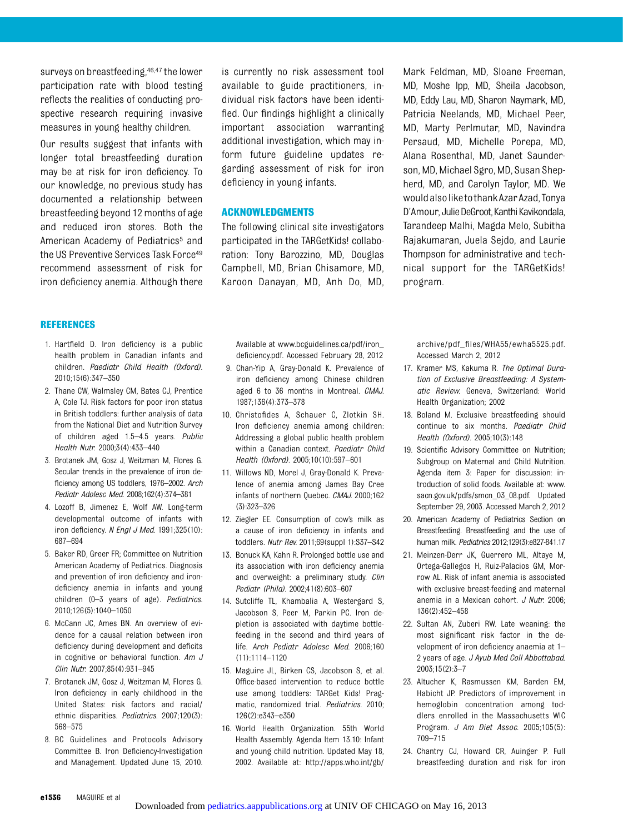surveys on breastfeeding,46,47 the lower participation rate with blood testing reflects the realities of conducting prospective research requiring invasive measures in young healthy children.

Our results suggest that infants with longer total breastfeeding duration may be at risk for iron deficiency. To our knowledge, no previous study has documented a relationship between breastfeeding beyond 12 months of age and reduced iron stores. Both the American Academy of Pediatrics<sup>5</sup> and the US Preventive Services Task Force49 recommend assessment of risk for iron deficiency anemia. Although there

#### REFERENCES

- 1. Hartfield D. Iron deficiency is a public health problem in Canadian infants and children. Paediatr Child Health (Oxford). 2010;15(6):347–350
- 2. Thane CW, Walmsley CM, Bates CJ, Prentice A, Cole TJ. Risk factors for poor iron status in British toddlers: further analysis of data from the National Diet and Nutrition Survey of children aged 1.5–4.5 years. Public Health Nutr. 2000;3(4):433–440
- 3. Brotanek JM, Gosz J, Weitzman M, Flores G. Secular trends in the prevalence of iron deficiency among US toddlers, 1976–2002. Arch Pediatr Adolesc Med. 2008;162(4):374–381
- 4. Lozoff B, Jimenez E, Wolf AW. Long-term developmental outcome of infants with iron deficiency. N Engl J Med. 1991;325(10): 687–694
- 5. Baker RD, Greer FR; Committee on Nutrition American Academy of Pediatrics. Diagnosis and prevention of iron deficiency and irondeficiency anemia in infants and young children (0-3 years of age). Pediatrics. 2010;126(5):1040–1050
- 6. McCann JC, Ames BN. An overview of evidence for a causal relation between iron deficiency during development and deficits in cognitive or behavioral function. Am  $J$ Clin Nutr. 2007;85(4):931–945
- 7. Brotanek JM, Gosz J, Weitzman M, Flores G. Iron deficiency in early childhood in the United States: risk factors and racial/ ethnic disparities. Pediatrics. 2007;120(3): 568–575
- 8. BC Guidelines and Protocols Advisory Committee B. Iron Deficiency-Investigation and Management. Updated June 15, 2010.

is currently no risk assessment tool available to guide practitioners, individual risk factors have been identified. Our findings highlight a clinically important association warranting additional investigation, which may inform future guideline updates regarding assessment of risk for iron deficiency in young infants.

#### ACKNOWLEDGMENTS

The following clinical site investigators participated in the TARGetKids! collaboration: Tony Barozzino, MD, Douglas Campbell, MD, Brian Chisamore, MD, Karoon Danayan, MD, Anh Do, MD, Mark Feldman, MD, Sloane Freeman, MD, Moshe Ipp, MD, Sheila Jacobson, MD, Eddy Lau, MD, Sharon Naymark, MD, Patricia Neelands, MD, Michael Peer, MD, Marty Perlmutar, MD, Navindra Persaud, MD, Michelle Porepa, MD, Alana Rosenthal, MD, Janet Saunderson, MD, Michael Sgro, MD, Susan Shepherd, MD, and Carolyn Taylor, MD. We wouldalsoliketothankAzarAzad, Tonya D'Amour, Julie DeGroot, Kanthi Kavikondala, Tarandeep Malhi, Magda Melo, Subitha Rajakumaran, Juela Sejdo, and Laurie Thompson for administrative and technical support for the TARGetKids! program.

Available at [www.bcguidelines.ca/pdf/iron\\_](http://www.bcguidelines.ca/pdf/iron_deficiency.pdf) defi[ciency.pdf.](http://www.bcguidelines.ca/pdf/iron_deficiency.pdf) Accessed February 28, 2012

- 9. Chan-Yip A, Gray-Donald K. Prevalence of iron deficiency among Chinese children aged 6 to 36 months in Montreal. CMAJ. 1987;136(4):373–378
- 10. Christofides A, Schauer C, Zlotkin SH. Iron deficiency anemia among children: Addressing a global public health problem within a Canadian context. Paediatr Child Health (Oxford). 2005;10(10):597–601
- 11. Willows ND, Morel J, Gray-Donald K. Prevalence of anemia among James Bay Cree infants of northern Quebec. CMAJ. 2000;162 (3):323–326
- 12. Ziegler EE. Consumption of cow's milk as a cause of iron deficiency in infants and toddlers. Nutr Rev. 2011;69(suppl 1):S37–S42
- 13. Bonuck KA, Kahn R. Prolonged bottle use and its association with iron deficiency anemia and overweight: a preliminary study. Clin Pediatr (Phila). 2002;41(8):603–607
- 14. Sutcliffe TL, Khambalia A, Westergard S, Jacobson S, Peer M, Parkin PC. Iron depletion is associated with daytime bottlefeeding in the second and third years of life. Arch Pediatr Adolesc Med. 2006;160 (11):1114–1120
- 15. Maguire JL, Birken CS, Jacobson S, et al. Office-based intervention to reduce bottle use among toddlers: TARGet Kids! Pragmatic, randomized trial. Pediatrics. 2010; 126(2):e343–e350
- 16. World Health Organization. 55th World Health Assembly. Agenda Item 13.10: Infant and young child nutrition. Updated May 18, 2002. Available at: [http://apps.who.int/gb/](http://apps.who.int/gb/archive/pdf_files/WHA55/ewha5525.pdf)

archive/pdf\_fi[les/WHA55/ewha5525.pdf](http://apps.who.int/gb/archive/pdf_files/WHA55/ewha5525.pdf). Accessed March 2, 2012

- 17. Kramer MS, Kakuma R. The Optimal Duration of Exclusive Breastfeeding: A Systematic Review. Geneva, Switzerland: World Health Organization; 2002
- 18. Boland M. Exclusive breastfeeding should continue to six months. Paediatr Child Health (Oxford). 2005;10(3):148
- 19. Scientific Advisory Committee on Nutrition; Subgroup on Maternal and Child Nutrition. Agenda item 3: Paper for discussion: introduction of solid foods. Available at: [www.](http://www.sacn.gov.uk/pdfs/smcn_03_08.pdf) [sacn.gov.uk/pdfs/smcn\\_03\\_08.pdf.](http://www.sacn.gov.uk/pdfs/smcn_03_08.pdf) Updated September 29, 2003. Accessed March 2, 2012
- 20. American Academy of Pediatrics Section on Breastfeeding. Breastfeeding and the use of human milk. Pediatrics 2012;129(3):e827-841.17
- 21. Meinzen-Derr JK, Guerrero ML, Altaye M, Ortega-Gallegos H, Ruiz-Palacios GM, Morrow AL. Risk of infant anemia is associated with exclusive breast-feeding and maternal anemia in a Mexican cohort. J Nutr. 2006; 136(2):452–458
- 22. Sultan AN, Zuberi RW. Late weaning: the most significant risk factor in the development of iron deficiency anaemia at 1– 2 years of age. J Ayub Med Coll Abbottabad. 2003;15(2):3–7
- 23. Altucher K, Rasmussen KM, Barden EM, Habicht JP. Predictors of improvement in hemoglobin concentration among toddlers enrolled in the Massachusetts WIC Program. J Am Diet Assoc. 2005;105(5): 709–715
- 24. Chantry CJ, Howard CR, Auinger P. Full breastfeeding duration and risk for iron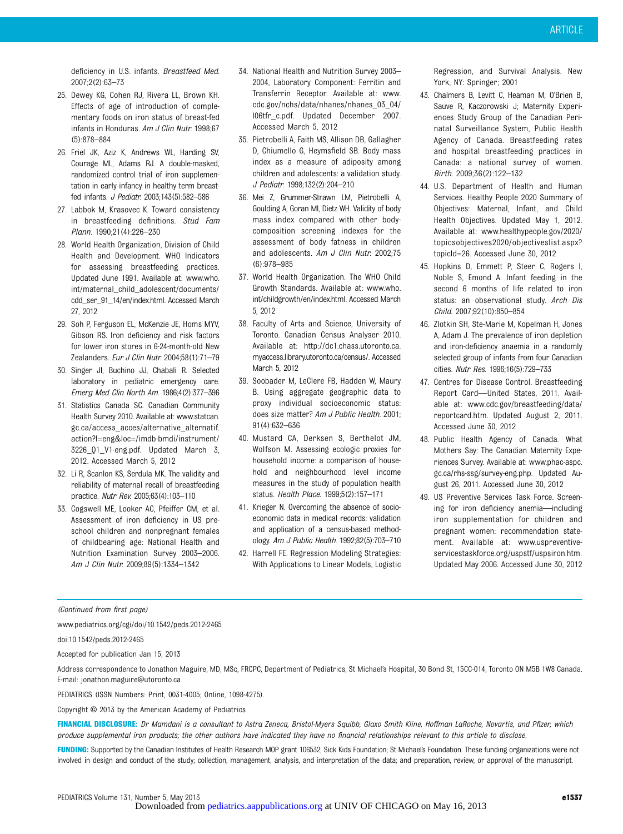deficiency in U.S. infants. Breastfeed Med. 2007;2(2):63–73

- 25. Dewey KG, Cohen RJ, Rivera LL, Brown KH. Effects of age of introduction of complementary foods on iron status of breast-fed infants in Honduras. Am J Clin Nutr. 1998;67 (5):878–884
- 26. Friel JK, Aziz K, Andrews WL, Harding SV, Courage ML, Adams RJ. A double-masked, randomized control trial of iron supplementation in early infancy in healthy term breastfed infants. J Pediatr. 2003;143(5):582–586
- 27. Labbok M, Krasovec K. Toward consistency in breastfeeding definitions. Stud Fam Plann. 1990;21(4):226–230
- 28. World Health Organization, Division of Child Health and Development. WHO Indicators for assessing breastfeeding practices. Updated June 1991. Available at: [www.who.](http://www.who.int/maternal_child_adolescent/documents/cdd_ser_91_14/en/index.html) [int/maternal\\_child\\_adolescent/documents/](http://www.who.int/maternal_child_adolescent/documents/cdd_ser_91_14/en/index.html) [cdd\\_ser\\_91\\_14/en/index.html](http://www.who.int/maternal_child_adolescent/documents/cdd_ser_91_14/en/index.html). Accessed March 27, 2012
- 29. Soh P, Ferguson EL, McKenzie JE, Homs MYV, Gibson RS. Iron deficiency and risk factors for lower iron stores in 6-24-month-old New Zealanders. Eur J Clin Nutr. 2004;58(1):71–79
- 30. Singer JI, Buchino JJ, Chabali R. Selected laboratory in pediatric emergency care. Emerg Med Clin North Am. 1986;4(2):377–396
- 31. Statistics Canada SC. Canadian Community Health Survey 2010. Available at: [www.statcan.](http://www.statcan.gc.ca/access_acces/alternative_alternatif.action?l=eng&loc=/imdb-bmdi/instrument/3226_Q1_V1-eng.pdf) [gc.ca/access\\_acces/alternative\\_alternatif.](http://www.statcan.gc.ca/access_acces/alternative_alternatif.action?l=eng&loc=/imdb-bmdi/instrument/3226_Q1_V1-eng.pdf) [action?l=eng&loc=/imdb-bmdi/instrument/](http://www.statcan.gc.ca/access_acces/alternative_alternatif.action?l=eng&loc=/imdb-bmdi/instrument/3226_Q1_V1-eng.pdf) [3226\\_Q1\\_V1-eng.pdf.](http://www.statcan.gc.ca/access_acces/alternative_alternatif.action?l=eng&loc=/imdb-bmdi/instrument/3226_Q1_V1-eng.pdf) Updated March 3, 2012. Accessed March 5, 2012
- 32. Li R, Scanlon KS, Serdula MK. The validity and reliability of maternal recall of breastfeeding practice. Nutr Rev. 2005;63(4):103–110
- 33. Cogswell ME, Looker AC, Pfeiffer CM, et al. Assessment of iron deficiency in US preschool children and nonpregnant females of childbearing age: National Health and Nutrition Examination Survey 2003–2006. Am J Clin Nutr. 2009;89(5):1334–1342
- 34. National Health and Nutrition Survey 2003– 2004, Laboratory Component: Ferritin and Transferrin Receptor. Available at: [www.](http://www.cdc.gov/nchs/data/nhanes/nhanes_03_04/l06tfr_c.pdf) [cdc.gov/nchs/data/nhanes/nhanes\\_03\\_04/](http://www.cdc.gov/nchs/data/nhanes/nhanes_03_04/l06tfr_c.pdf) [l06tfr\\_c.pdf.](http://www.cdc.gov/nchs/data/nhanes/nhanes_03_04/l06tfr_c.pdf) Updated December 2007. Accessed March 5, 2012
- 35. Pietrobelli A, Faith MS, Allison DB, Gallagher D, Chiumello G, Heymsfield SB. Body mass index as a measure of adiposity among children and adolescents: a validation study. J Pediatr. 1998;132(2):204–210
- 36. Mei Z, Grummer-Strawn LM, Pietrobelli A, Goulding A, Goran MI, Dietz WH. Validity of body mass index compared with other bodycomposition screening indexes for the assessment of body fatness in children and adolescents. Am J Clin Nutr. 2002;75 (6):978–985
- 37. World Health Organization. The WHO Child Growth Standards. Available at: [www.who.](http://www.who.int/childgrowth/en/index.html) [int/childgrowth/en/index.html](http://www.who.int/childgrowth/en/index.html). Accessed March 5, 2012
- 38. Faculty of Arts and Science, University of Toronto. Canadian Census Analyser 2010. Available at: [http://dc1.chass.utoronto.ca.](http://dc1.chass.utoronto.ca.myaccess.library.utoronto.ca/census/) [myaccess.library.utoronto.ca/census/.](http://dc1.chass.utoronto.ca.myaccess.library.utoronto.ca/census/) Accessed March 5, 2012
- 39. Soobader M, LeClere FB, Hadden W, Maury B. Using aggregate geographic data to proxy individual socioeconomic status: does size matter? Am J Public Health. 2001; 91(4):632–636
- 40. Mustard CA, Derksen S, Berthelot JM, Wolfson M. Assessing ecologic proxies for household income: a comparison of household and neighbourhood level income measures in the study of population health status. Health Place. 1999;5(2):157–171
- 41. Krieger N. Overcoming the absence of socioeconomic data in medical records: validation and application of a census-based methodology. Am J Public Health. 1992;82(5):703–710
- 42. Harrell FE. Regression Modeling Strategies: With Applications to Linear Models, Logistic

Regression, and Survival Analysis. New York, NY: Springer; 2001

- 43. Chalmers B, Levitt C, Heaman M, O'Brien B, Sauve R, Kaczorowski J; Maternity Experiences Study Group of the Canadian Perinatal Surveillance System, Public Health Agency of Canada. Breastfeeding rates and hospital breastfeeding practices in Canada: a national survey of women. Birth. 2009;36(2):122–132
- 44. U.S. Department of Health and Human Services. Healthy People 2020 Summary of Objectives: Maternal, Infant, and Child Health Objectives. Updated May 1, 2012. Available at: [www.healthypeople.gov/2020/](http://www.healthypeople.gov/2020/topicsobjectives2020/objectiveslist.aspx?topicId=26.) [topicsobjectives2020/objectiveslist.aspx?](http://www.healthypeople.gov/2020/topicsobjectives2020/objectiveslist.aspx?topicId=26.) [topicId=26.](http://www.healthypeople.gov/2020/topicsobjectives2020/objectiveslist.aspx?topicId=26.) Accessed June 30, 2012
- 45. Hopkins D, Emmett P, Steer C, Rogers I, Noble S, Emond A. Infant feeding in the second 6 months of life related to iron status: an observational study. Arch Dis Child. 2007;92(10):850–854
- 46. Zlotkin SH, Ste-Marie M, Kopelman H, Jones A, Adam J. The prevalence of iron depletion and iron-deficiency anaemia in a randomly selected group of infants from four Canadian cities. Nutr Res. 1996;16(5):729–733
- 47. Centres for Disease Control. Breastfeeding Report Card—United States, 2011. Available at: [www.cdc.gov/breastfeeding/data/](http://www.cdc.gov/breastfeeding/data/reportcard.htm) [reportcard.htm](http://www.cdc.gov/breastfeeding/data/reportcard.htm). Updated August 2, 2011. Accessed June 30, 2012
- 48. Public Health Agency of Canada. What Mothers Say: The Canadian Maternity Experiences Survey. Available at: [www.phac-aspc.](http://www.phac-aspc.gc.ca/rhs-ssg/survey-eng.php) [gc.ca/rhs-ssg/survey-eng.php.](http://www.phac-aspc.gc.ca/rhs-ssg/survey-eng.php) Updated August 26, 2011. Accessed June 30, 2012
- 49. US Preventive Services Task Force. Screening for iron deficiency anemia—including iron supplementation for children and pregnant women: recommendation statement. Available at: [www.uspreventive](http://www.uspreventiveservicestaskforce.org/uspstf/uspsiron.htm)[servicestaskforce.org/uspstf/uspsiron.htm](http://www.uspreventiveservicestaskforce.org/uspstf/uspsiron.htm). Updated May 2006. Accessed June 30, 2012

(Continued from first page)

www.pediatrics.org/cgi/doi/10.1542/peds.2012-2465

doi:10.1542/peds.2012-2465

Accepted for publication Jan 15, 2013

Address correspondence to Jonathon Maguire, MD, MSc, FRCPC, Department of Pediatrics, St Michael's Hospital, 30 Bond St, 15CC-014, Toronto ON M5B 1W8 Canada. E-mail: [jonathon.maguire@utoronto.ca](mailto:jonathon.maguire@utoronto.ca)

PEDIATRICS (ISSN Numbers: Print, 0031-4005; Online, 1098-4275).

Copyright © 2013 by the American Academy of Pediatrics

FINANCIAL DISCLOSURE: Dr Mamdani is a consultant to Astra Zeneca, Bristol-Myers Squibb, Glaxo Smith Kline, Hoffman LaRoche, Novartis, and Pfizer, which produce supplemental iron products; the other authors have indicated they have no financial relationships relevant to this article to disclose.

FUNDING: Supported by the Canadian Institutes of Health Research MOP grant 106532; Sick Kids Foundation; St Michael's Foundation. These funding organizations were not involved in design and conduct of the study; collection, management, analysis, and interpretation of the data; and preparation, review, or approval of the manuscript.